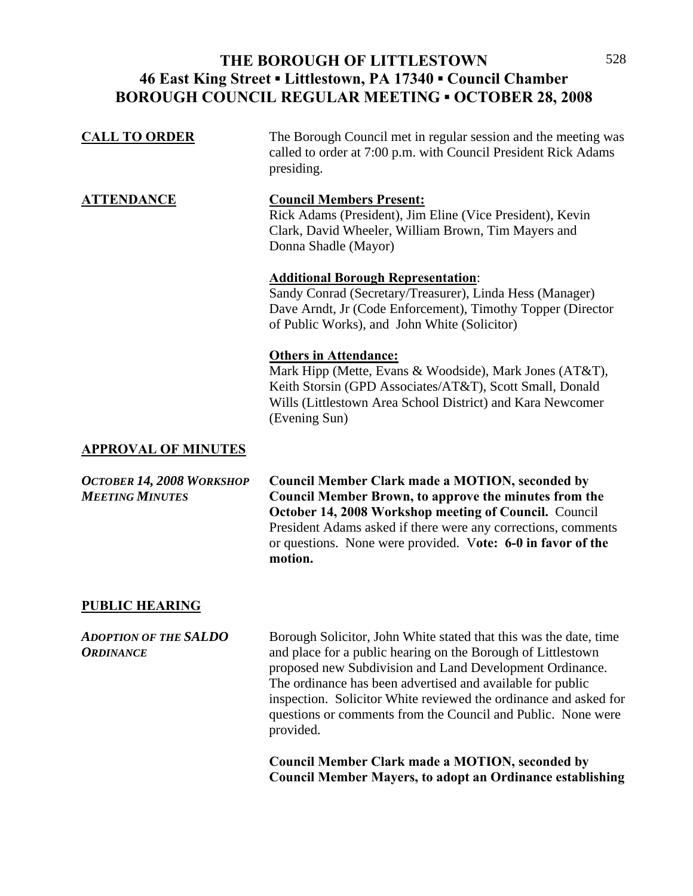### **THE BOROUGH OF LITTLESTOWN**  528 **46 East King Street ▪ Littlestown, PA 17340 ▪ Council Chamber BOROUGH COUNCIL REGULAR MEETING ▪ OCTOBER 28, 2008**

| <b>CALL TO ORDER</b>       | The Borough Council met in regular session and the meeting was<br>called to order at 7:00 p.m. with Council President Rick Adams<br>presiding.                                                                                     |
|----------------------------|------------------------------------------------------------------------------------------------------------------------------------------------------------------------------------------------------------------------------------|
| <b>ATTENDANCE</b>          | <b>Council Members Present:</b><br>Rick Adams (President), Jim Eline (Vice President), Kevin<br>Clark, David Wheeler, William Brown, Tim Mayers and<br>Donna Shadle (Mayor)                                                        |
|                            | <b>Additional Borough Representation:</b><br>Sandy Conrad (Secretary/Treasurer), Linda Hess (Manager)<br>Dave Arndt, Jr (Code Enforcement), Timothy Topper (Director<br>of Public Works), and John White (Solicitor)               |
|                            | <b>Others in Attendance:</b><br>Mark Hipp (Mette, Evans & Woodside), Mark Jones (AT&T),<br>Keith Storsin (GPD Associates/AT&T), Scott Small, Donald<br>Wills (Littlestown Area School District) and Kara Newcomer<br>(Evening Sun) |
| <b>APPROVAL OF MINITES</b> |                                                                                                                                                                                                                                    |

#### **MINUTES**

| OCTOBER 14, 2008 WORKSHOP | <b>Council Member Clark made a MOTION, seconded by</b>        |
|---------------------------|---------------------------------------------------------------|
| <b>MEETING MINUTES</b>    | Council Member Brown, to approve the minutes from the         |
|                           | October 14, 2008 Workshop meeting of Council. Council         |
|                           | President Adams asked if there were any corrections, comments |
|                           | or questions. None were provided. Vote: 6-0 in favor of the   |
|                           | motion.                                                       |

#### **PUBLIC HEARING**

*ADOPTION OF THE SALDO* Borough Solicitor, John White stated that this was the date, time *ORDINANCE* and place for a public hearing on the Borough of Littlestown proposed new Subdivision and Land Development Ordinance. The ordinance has been advertised and available for public inspection. Solicitor White reviewed the ordinance and asked for questions or comments from the Council and Public. None were provided.

> **Council Member Clark made a MOTION, seconded by Council Member Mayers, to adopt an Ordinance establishing**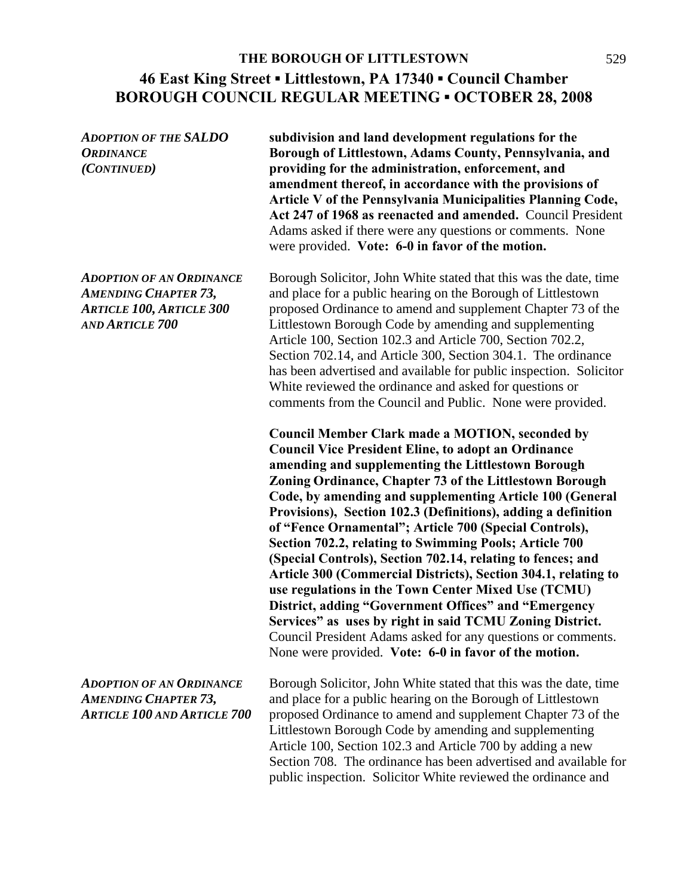*ADOPTION OF THE SALDO* **subdivision and land development regulations for the**  *ORDINANCE* **Borough of Littlestown, Adams County, Pennsylvania, and**  *(CONTINUED)* **providing for the administration, enforcement, and amendment thereof, in accordance with the provisions of Article V of the Pennsylvania Municipalities Planning Code, Act 247 of 1968 as reenacted and amended.** Council President Adams asked if there were any questions or comments. None were provided. **Vote: 6-0 in favor of the motion.**  *ADOPTION OF AN ORDINANCE* Borough Solicitor, John White stated that this was the date, time *AMENDING CHAPTER 73,* and place for a public hearing on the Borough of Littlestown *ARTICLE 100, ARTICLE 300* proposed Ordinance to amend and supplement Chapter 73 of the *AND ARTICLE 700* Littlestown Borough Code by amending and supplementing Article 100, Section 102.3 and Article 700, Section 702.2, Section 702.14, and Article 300, Section 304.1. The ordinance has been advertised and available for public inspection. Solicitor White reviewed the ordinance and asked for questions or comments from the Council and Public. None were provided. **Council Member Clark made a MOTION, seconded by Council Vice President Eline, to adopt an Ordinance amending and supplementing the Littlestown Borough Zoning Ordinance, Chapter 73 of the Littlestown Borough Code, by amending and supplementing Article 100 (General Provisions), Section 102.3 (Definitions), adding a definition of "Fence Ornamental"; Article 700 (Special Controls), Section 702.2, relating to Swimming Pools; Article 700 (Special Controls), Section 702.14, relating to fences; and Article 300 (Commercial Districts), Section 304.1, relating to use regulations in the Town Center Mixed Use (TCMU) District, adding "Government Offices" and "Emergency Services" as uses by right in said TCMU Zoning District.**  Council President Adams asked for any questions or comments. None were provided. **Vote: 6-0 in favor of the motion.**  *ADOPTION OF AN ORDINANCE* Borough Solicitor, John White stated that this was the date, time *AMENDING CHAPTER 73,* and place for a public hearing on the Borough of Littlestown *ARTICLE 100 AND ARTICLE 700* proposed Ordinance to amend and supplement Chapter 73 of the Littlestown Borough Code by amending and supplementing Article 100, Section 102.3 and Article 700 by adding a new Section 708. The ordinance has been advertised and available for public inspection. Solicitor White reviewed the ordinance and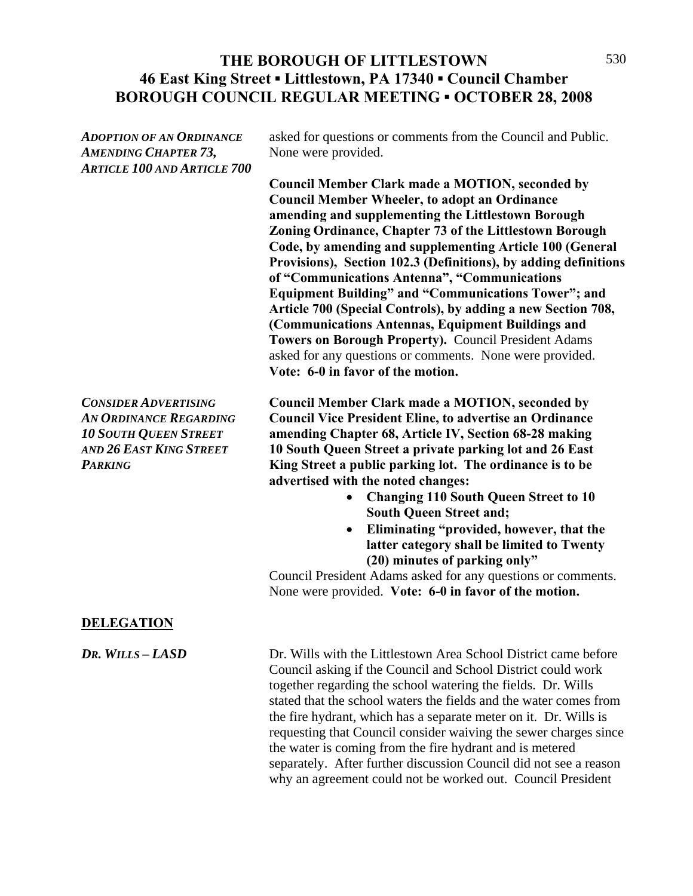### THE BOROUGH OF LITTLESTOWN 530 **46 East King Street ▪ Littlestown, PA 17340 ▪ Council Chamber BOROUGH COUNCIL REGULAR MEETING ▪ OCTOBER 28, 2008**

| <b>ADOPTION OF AN ORDINANCE</b><br><b>AMENDING CHAPTER 73,</b><br><b>ARTICLE 100 AND ARTICLE 700</b>                                      | asked for questions or comments from the Council and Public.<br>None were provided.<br><b>Council Member Clark made a MOTION, seconded by</b><br><b>Council Member Wheeler, to adopt an Ordinance</b><br>amending and supplementing the Littlestown Borough<br>Zoning Ordinance, Chapter 73 of the Littlestown Borough                                                                                                                                                                                                                                                                                                                                                               |
|-------------------------------------------------------------------------------------------------------------------------------------------|--------------------------------------------------------------------------------------------------------------------------------------------------------------------------------------------------------------------------------------------------------------------------------------------------------------------------------------------------------------------------------------------------------------------------------------------------------------------------------------------------------------------------------------------------------------------------------------------------------------------------------------------------------------------------------------|
|                                                                                                                                           | Code, by amending and supplementing Article 100 (General<br>Provisions), Section 102.3 (Definitions), by adding definitions<br>of "Communications Antenna", "Communications<br><b>Equipment Building" and "Communications Tower"; and</b><br>Article 700 (Special Controls), by adding a new Section 708,<br>(Communications Antennas, Equipment Buildings and<br>Towers on Borough Property). Council President Adams<br>asked for any questions or comments. None were provided.<br>Vote: 6-0 in favor of the motion.                                                                                                                                                              |
| <b>CONSIDER ADVERTISING</b><br><b>AN ORDINANCE REGARDING</b><br><b>10 SOUTH QUEEN STREET</b><br>AND 26 EAST KING STREET<br><b>PARKING</b> | <b>Council Member Clark made a MOTION, seconded by</b><br><b>Council Vice President Eline, to advertise an Ordinance</b><br>amending Chapter 68, Article IV, Section 68-28 making<br>10 South Queen Street a private parking lot and 26 East<br>King Street a public parking lot. The ordinance is to be<br>advertised with the noted changes:<br><b>Changing 110 South Queen Street to 10</b><br><b>South Queen Street and;</b><br>Eliminating "provided, however, that the<br>latter category shall be limited to Twenty<br>(20) minutes of parking only"<br>Council President Adams asked for any questions or comments.<br>None were provided. Vote: 6-0 in favor of the motion. |
| <b>DELEGATION</b>                                                                                                                         |                                                                                                                                                                                                                                                                                                                                                                                                                                                                                                                                                                                                                                                                                      |
| DR. WILLS - LASD                                                                                                                          | Dr. Wills with the Littlestown Area School District came before<br>Council asking if the Council and School District could work<br>together regarding the school watering the fields. Dr. Wills<br>stated that the school waters the fields and the water comes from                                                                                                                                                                                                                                                                                                                                                                                                                 |

stated that the school waters the fields and the water comes from the fire hydrant, which has a separate meter on it. Dr. Wills is requesting that Council consider waiving the sewer charges since the water is coming from the fire hydrant and is metered separately. After further discussion Council did not see a reason why an agreement could not be worked out. Council President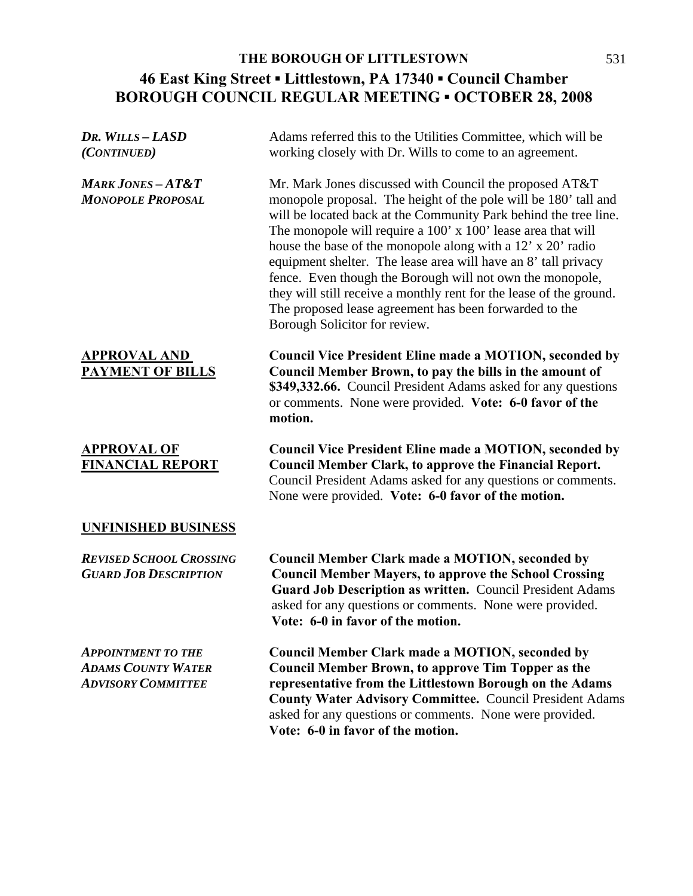| DR. WILLS - LASD<br>(CONTINUED)                                                     | Adams referred this to the Utilities Committee, which will be<br>working closely with Dr. Wills to come to an agreement.                                                                                                                                                                                                                                                                                                                                                                                                                                                                                                       |
|-------------------------------------------------------------------------------------|--------------------------------------------------------------------------------------------------------------------------------------------------------------------------------------------------------------------------------------------------------------------------------------------------------------------------------------------------------------------------------------------------------------------------------------------------------------------------------------------------------------------------------------------------------------------------------------------------------------------------------|
| <b>MARK JONES-AT&amp;T</b><br><b>MONOPOLE PROPOSAL</b>                              | Mr. Mark Jones discussed with Council the proposed AT&T<br>monopole proposal. The height of the pole will be 180' tall and<br>will be located back at the Community Park behind the tree line.<br>The monopole will require a 100' x 100' lease area that will<br>house the base of the monopole along with a 12' x 20' radio<br>equipment shelter. The lease area will have an 8' tall privacy<br>fence. Even though the Borough will not own the monopole,<br>they will still receive a monthly rent for the lease of the ground.<br>The proposed lease agreement has been forwarded to the<br>Borough Solicitor for review. |
| <b>APPROVAL AND</b><br><b>PAYMENT OF BILLS</b>                                      | <b>Council Vice President Eline made a MOTION, seconded by</b><br>Council Member Brown, to pay the bills in the amount of<br>\$349,332.66. Council President Adams asked for any questions<br>or comments. None were provided. Vote: 6-0 favor of the<br>motion.                                                                                                                                                                                                                                                                                                                                                               |
| <b>APPROVAL OF</b><br><b>FINANCIAL REPORT</b>                                       | <b>Council Vice President Eline made a MOTION, seconded by</b><br><b>Council Member Clark, to approve the Financial Report.</b><br>Council President Adams asked for any questions or comments.<br>None were provided. Vote: 6-0 favor of the motion.                                                                                                                                                                                                                                                                                                                                                                          |
| <b>UNFINISHED BUSINESS</b>                                                          |                                                                                                                                                                                                                                                                                                                                                                                                                                                                                                                                                                                                                                |
| <b>REVISED SCHOOL CROSSING</b><br><b>GUARD JOB DESCRIPTION</b>                      | <b>Council Member Clark made a MOTION, seconded by</b><br><b>Council Member Mayers, to approve the School Crossing</b><br>Guard Job Description as written. Council President Adams<br>asked for any questions or comments. None were provided.<br>Vote: 6-0 in favor of the motion.                                                                                                                                                                                                                                                                                                                                           |
| <b>APPOINTMENT TO THE</b><br><b>ADAMS COUNTY WATER</b><br><b>ADVISORY COMMITTEE</b> | <b>Council Member Clark made a MOTION, seconded by</b><br><b>Council Member Brown, to approve Tim Topper as the</b><br>representative from the Littlestown Borough on the Adams<br>County Water Advisory Committee. Council President Adams<br>asked for any questions or comments. None were provided.<br>Vote: 6-0 in favor of the motion.                                                                                                                                                                                                                                                                                   |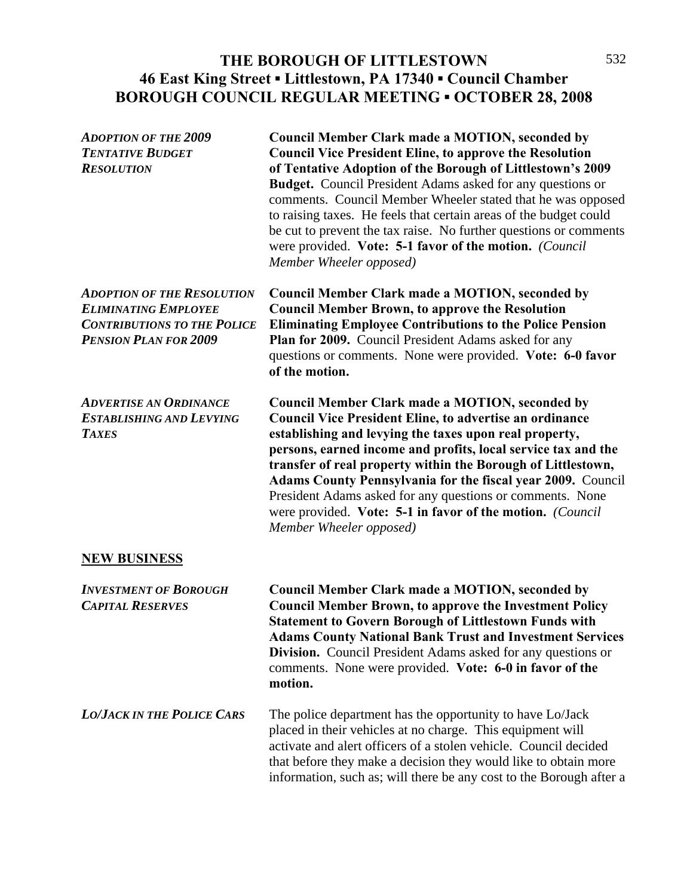## THE BOROUGH OF LITTLESTOWN 532 **46 East King Street ▪ Littlestown, PA 17340 ▪ Council Chamber BOROUGH COUNCIL REGULAR MEETING ▪ OCTOBER 28, 2008**

| <b>ADOPTION OF THE 2009</b><br><b>TENTATIVE BUDGET</b><br><b>RESOLUTION</b>                                                            | Council Member Clark made a MOTION, seconded by<br><b>Council Vice President Eline, to approve the Resolution</b><br>of Tentative Adoption of the Borough of Littlestown's 2009<br><b>Budget.</b> Council President Adams asked for any questions or<br>comments. Council Member Wheeler stated that he was opposed<br>to raising taxes. He feels that certain areas of the budget could<br>be cut to prevent the tax raise. No further questions or comments<br>were provided. Vote: 5-1 favor of the motion. (Council<br>Member Wheeler opposed) |
|----------------------------------------------------------------------------------------------------------------------------------------|----------------------------------------------------------------------------------------------------------------------------------------------------------------------------------------------------------------------------------------------------------------------------------------------------------------------------------------------------------------------------------------------------------------------------------------------------------------------------------------------------------------------------------------------------|
| <b>ADOPTION OF THE RESOLUTION</b><br><b>ELIMINATING EMPLOYEE</b><br><b>CONTRIBUTIONS TO THE POLICE</b><br><b>PENSION PLAN FOR 2009</b> | <b>Council Member Clark made a MOTION, seconded by</b><br><b>Council Member Brown, to approve the Resolution</b><br><b>Eliminating Employee Contributions to the Police Pension</b><br>Plan for 2009. Council President Adams asked for any<br>questions or comments. None were provided. Vote: 6-0 favor<br>of the motion.                                                                                                                                                                                                                        |
| <b>ADVERTISE AN ORDINANCE</b><br><b>ESTABLISHING AND LEVYING</b><br><b>TAXES</b>                                                       | <b>Council Member Clark made a MOTION, seconded by</b><br><b>Council Vice President Eline, to advertise an ordinance</b><br>establishing and levying the taxes upon real property,<br>persons, earned income and profits, local service tax and the<br>transfer of real property within the Borough of Littlestown,<br>Adams County Pennsylvania for the fiscal year 2009. Council<br>President Adams asked for any questions or comments. None<br>were provided. Vote: 5-1 in favor of the motion. (Council<br>Member Wheeler opposed)            |
| <b>NEW BUSINESS</b>                                                                                                                    |                                                                                                                                                                                                                                                                                                                                                                                                                                                                                                                                                    |
| <b>INVESTMENT OF BOROUGH</b><br><b>CAPITAL RESERVES</b>                                                                                | <b>Council Member Clark made a MOTION, seconded by</b><br><b>Council Member Brown, to approve the Investment Policy</b><br><b>Statement to Govern Borough of Littlestown Funds with</b><br><b>Adams County National Bank Trust and Investment Services</b><br><b>Division.</b> Council President Adams asked for any questions or<br>comments. None were provided. Vote: 6-0 in favor of the<br>motion.                                                                                                                                            |
| <b>LO/JACK IN THE POLICE CARS</b>                                                                                                      | The police department has the opportunity to have Lo/Jack<br>placed in their vehicles at no charge. This equipment will<br>activate and alert officers of a stolen vehicle. Council decided<br>that before they make a decision they would like to obtain more<br>information, such as; will there be any cost to the Borough after a                                                                                                                                                                                                              |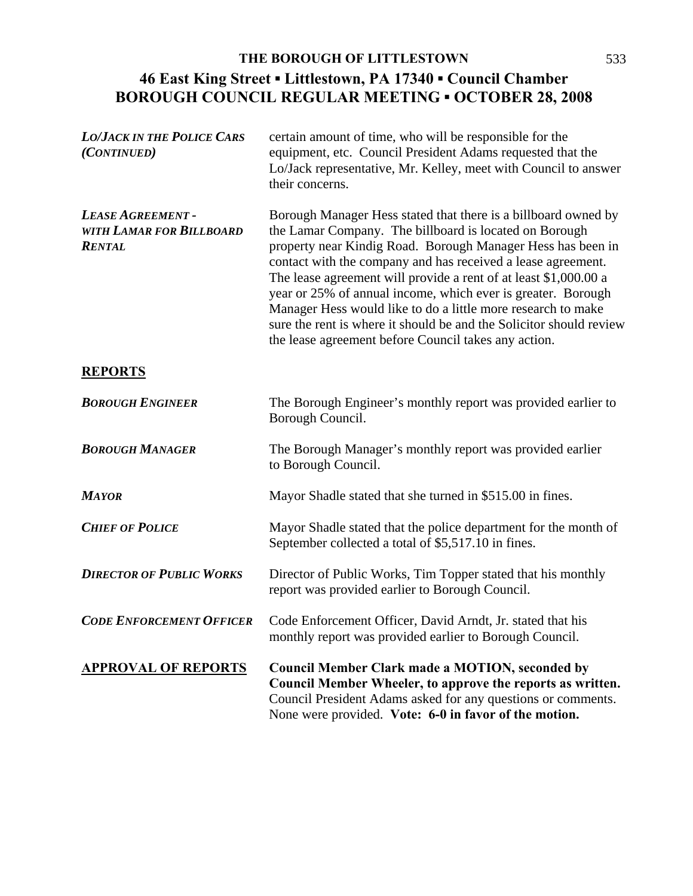| <b>LO/JACK IN THE POLICE CARS</b><br>(CONTINUED)               | certain amount of time, who will be responsible for the<br>equipment, etc. Council President Adams requested that the<br>Lo/Jack representative, Mr. Kelley, meet with Council to answer<br>their concerns.                                                                                                                                                                                                                                                                                                                                                                                |
|----------------------------------------------------------------|--------------------------------------------------------------------------------------------------------------------------------------------------------------------------------------------------------------------------------------------------------------------------------------------------------------------------------------------------------------------------------------------------------------------------------------------------------------------------------------------------------------------------------------------------------------------------------------------|
| LEASE AGREEMENT -<br>WITH LAMAR FOR BILLBOARD<br><b>RENTAL</b> | Borough Manager Hess stated that there is a billboard owned by<br>the Lamar Company. The billboard is located on Borough<br>property near Kindig Road. Borough Manager Hess has been in<br>contact with the company and has received a lease agreement.<br>The lease agreement will provide a rent of at least \$1,000.00 a<br>year or 25% of annual income, which ever is greater. Borough<br>Manager Hess would like to do a little more research to make<br>sure the rent is where it should be and the Solicitor should review<br>the lease agreement before Council takes any action. |
| <b>REPORTS</b>                                                 |                                                                                                                                                                                                                                                                                                                                                                                                                                                                                                                                                                                            |
| <b>BOROUGH ENGINEER</b>                                        | The Borough Engineer's monthly report was provided earlier to<br>Borough Council.                                                                                                                                                                                                                                                                                                                                                                                                                                                                                                          |
| <b>BOROUGH MANAGER</b>                                         | The Borough Manager's monthly report was provided earlier<br>to Borough Council.                                                                                                                                                                                                                                                                                                                                                                                                                                                                                                           |
| <b>MAYOR</b>                                                   | Mayor Shadle stated that she turned in \$515.00 in fines.                                                                                                                                                                                                                                                                                                                                                                                                                                                                                                                                  |
| <b>CHIEF OF POLICE</b>                                         | Mayor Shadle stated that the police department for the month of<br>September collected a total of \$5,517.10 in fines.                                                                                                                                                                                                                                                                                                                                                                                                                                                                     |
| <b>DIRECTOR OF PUBLIC WORKS</b>                                | Director of Public Works, Tim Topper stated that his monthly<br>report was provided earlier to Borough Council.                                                                                                                                                                                                                                                                                                                                                                                                                                                                            |
| <b>CODE ENFORCEMENT OFFICER</b>                                | Code Enforcement Officer, David Arndt, Jr. stated that his<br>monthly report was provided earlier to Borough Council.                                                                                                                                                                                                                                                                                                                                                                                                                                                                      |
| <b>APPROVAL OF REPORTS</b>                                     | <b>Council Member Clark made a MOTION, seconded by</b><br>Council Member Wheeler, to approve the reports as written.<br>Council President Adams asked for any questions or comments.<br>None were provided. Vote: 6-0 in favor of the motion.                                                                                                                                                                                                                                                                                                                                              |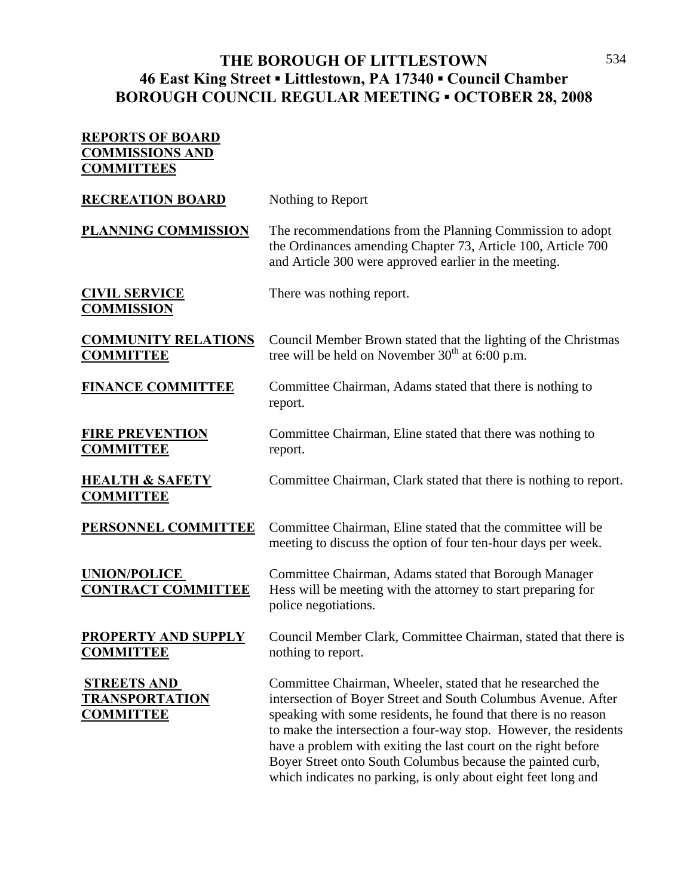#### THE BOROUGH OF LITTLESTOWN 534 **46 East King Street ▪ Littlestown, PA 17340 ▪ Council Chamber BOROUGH COUNCIL REGULAR MEETING ▪ OCTOBER 28, 2008**

# **REPORTS OF BOARD COMMISSIONS AND COMMITTEES RECREATION BOARD** Nothing to Report **PLANNING COMMISSION** The recommendations from the Planning Commission to adopt the Ordinances amending Chapter 73, Article 100, Article 700 and Article 300 were approved earlier in the meeting. **CIVIL SERVICE** There was nothing report. **COMMISSION COMMUNITY RELATIONS** Council Member Brown stated that the lighting of the Christmas **COMMITTEE** tree will be held on November 30<sup>th</sup> at 6:00 p.m. **FINANCE COMMITTEE** Committee Chairman, Adams stated that there is nothing to report. **FIRE PREVENTION** Committee Chairman, Eline stated that there was nothing to **COMMITTEE** report. **HEALTH & SAFETY** Committee Chairman, Clark stated that there is nothing to report. **COMMITTEE PERSONNEL COMMITTEE** Committee Chairman, Eline stated that the committee will be meeting to discuss the option of four ten-hour days per week. **UNION/POLICE** Committee Chairman, Adams stated that Borough Manager **CONTRACT COMMITTEE** Hess will be meeting with the attorney to start preparing for police negotiations. **PROPERTY AND SUPPLY** Council Member Clark, Committee Chairman, stated that there is **COMMITTEE** nothing to report. **STREETS AND Committee Chairman, Wheeler, stated that he researched the TRANSPORTATION** intersection of Boyer Street and South Columbus Avenue. After **COMMITTEE** speaking with some residents, he found that there is no reason to make the intersection a four-way stop. However, the residents have a problem with exiting the last court on the right before Boyer Street onto South Columbus because the painted curb, which indicates no parking, is only about eight feet long and